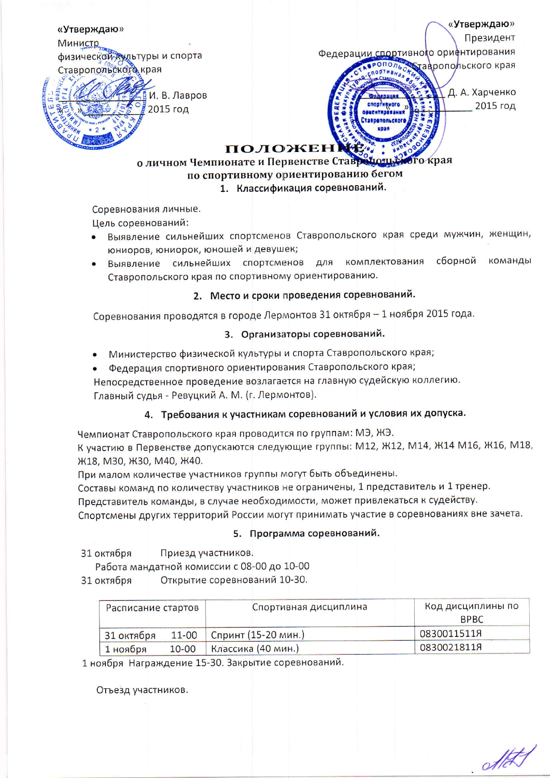«Утверждаю»

Министр физической культуры и спорта Ставропольского края

Президент Федерации спортивного ориентирования  $0I0n<sub>b</sub>$ тавропольского края

спортивного

**BUCHTHORRAN SERADORLERO** 

И. В. Лавров 2015 год

Д. А. Харченко 2015 год

«Утверждаю»

## **ПОЛОЖЕНИЕ**.

## о личном Чемпионате и Первенстве Ставретов края по спортивному ориентированию бегом

# 1. Классификация соревнований.

Соревнования личные.

Цель соревнований:

- Выявление сильнейших спортсменов Ставропольского края среди мужчин, женщин, юниоров, юниорок, юношей и девушек;
- сборной Выявление сильнейших спортсменов для команды комплектования Ставропольского края по спортивному ориентированию.

# 2. Место и сроки проведения соревнований.

Соревнования проводятся в городе Лермонтов 31 октября - 1 ноября 2015 года.

# 3. Организаторы соревнований.

- Министерство физической культуры и спорта Ставропольского края;
- Федерация спортивного ориентирования Ставропольского края;

Непосредственное проведение возлагается на главную судейскую коллегию.

Главный судья - Ревуцкий А. М. (г. Лермонтов).

# 4. Требования к участникам соревнований и условия их допуска.

Чемпионат Ставропольского края проводится по группам: МЭ, ЖЭ.

К участию в Первенстве допускаются следующие группы: М12, Ж12, М14, Ж14 М16, Ж16, М18, Ж18, М30, Ж30, М40, Ж40.

При малом количестве участников группы могут быть объединены.

Составы команд по количеству участников не ограничены, 1 представитель и 1 тренер.

Представитель команды, в случае необходимости, может привлекаться к судейству.

Спортсмены других территорий России могут принимать участие в соревнованиях вне зачета.

## 5. Программа соревнований.

31 октября Приезд участников.

Работа мандатной комиссии с 08-00 до 10-00

Открытие соревнований 10-30. 31 октября

| Расписание стартов |           | Спортивная дисциплина | Код дисциплины по |
|--------------------|-----------|-----------------------|-------------------|
|                    |           |                       | <b>BPBC</b>       |
| 31 октября         | 11-00     | Спринт (15-20 мин.)   | 0830011511Я       |
| 1 ноября           | $10 - 00$ | Классика (40 мин.)    | 0830021811Я       |

1 ноября Награждение 15-30. Закрытие соревнований.

Отъезд участников.

 $-d$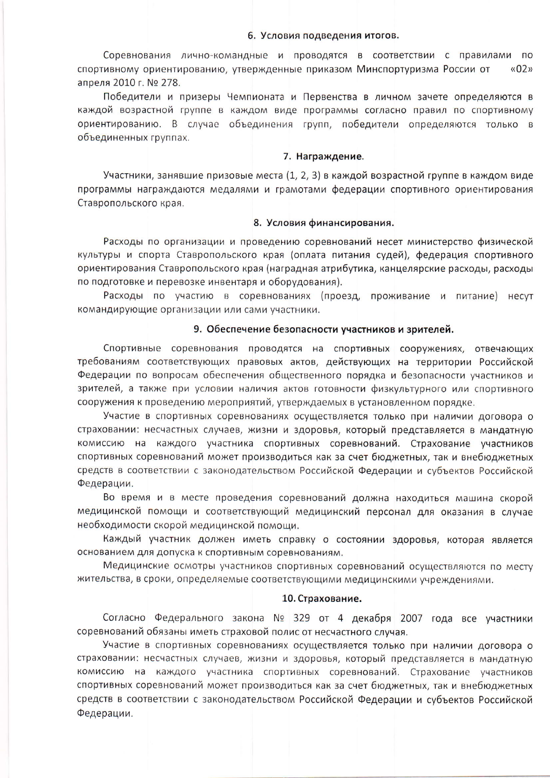#### 6. Условия подведения итогов.

Соревнования лично-командные и проводятся в соответствии с правилами по  $\frac{1}{2}$ спортивному ориентированию, утвержденные приказом Минспортуризма России от апреля 2010 г. № 278.

Победители и призеры Чемпионата и Первенства в личном зачете определяются в каждой возрастной группе в каждом виде программы согласно правил по спортивному ориентированию. В случае объединения групп, победители определяются только в объединенных группах.

## 7. Награждение.

Участники, занявшие призовые места (1, 2, 3) в каждой возрастной группе в каждом виде программы награждаются медалями и грамотами федерации спортивного ориентирования Ставропольского края.

#### 8. Условия финансирования.

Расходы по организации и проведению соревнований несет министерство физической культуры и спорта Ставропольского края (оплата питания судей), федерация спортивного ориентирования Ставропольского края (наградная атрибутика, канцелярские расходы, расходы по подготовке и перевозке инвентаря и оборудования).

Расходы по участию в соревнованиях (проезд, проживание и питание) несут командирующие организации или сами участники.

## 9. Обеспечение безопасности участников и зрителей.

Спортивные соревнования проводятся на спортивных сооружениях, отвечающих требованиям соответствующих правовых актов, действующих на территории Российской Федерации по вопросам обеспечения общественного порядка и безопасности участников и зрителей, а также при условии наличия актов готовности физкультурного или спортивного сооружения к проведению мероприятий, утверждаемых в установленном порядке.

Участие в спортивных соревнованиях осуществляется только при наличии договора о страховании: несчастных случаев, жизни и здоровья, который представляется в мандатную комиссию на каждого участника спортивных соревнований. Страхование участников спортивных соревнований может производиться как за счет бюджетных, так и внебюджетных средств в соответствии с законодательством Российской Федерации и субъектов Российской Федерации.

Во время и в месте проведения соревнований должна находиться машина скорой медицинской помощи и соответствующий медицинский персонал для оказания в случае необходимости скорой медицинской помощи.

Каждый участник должен иметь справку о состоянии здоровья, которая является основанием для допуска к спортивным соревнованиям.

Медицинские осмотры участников спортивных соревнований осуществляются по месту жительства, в сроки, определяемые соответствующими медицинскими учреждениями.

#### 10. Страхование.

Согласно Федерального закона № 329 от 4 декабря 2007 года все участники соревнований обязаны иметь страховой полис от несчастного случая.

Участие в спортивных соревнованиях осуществляется только при наличии договора о страховании: несчастных случаев, жизни и здоровья, который представляется в мандатную комиссию на каждого участника спортивных соревнований. Страхование участников спортивных соревнований может производиться как за счет бюджетных, так и внебюджетных средств в соответствии с законодательством Российской Федерации и субъектов Российской Федерации.